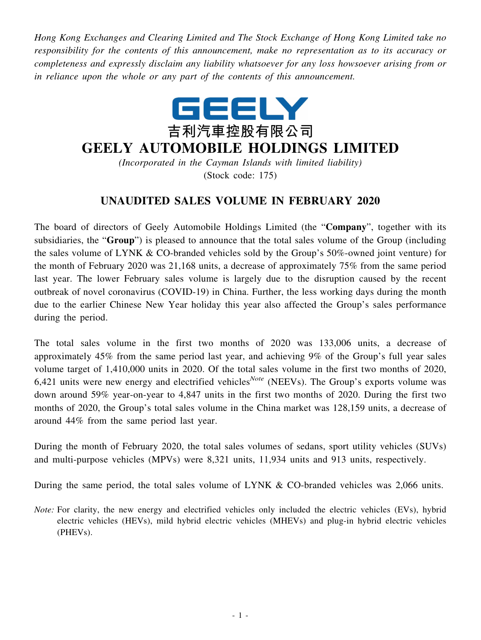*Hong Kong Exchanges and Clearing Limited and The Stock Exchange of Hong Kong Limited take no responsibility for the contents of this announcement, make no representation as to its accuracy or completeness and expressly disclaim any liability whatsoever for any loss howsoever arising from or in reliance upon the whole or any part of the contents of this announcement.*



## **GEELY AUTOMOBILE HOLDINGS LIMITED**

*(Incorporated in the Cayman Islands with limited liability)* (Stock code: 175)

## **UNAUDITED SALES VOLUME IN FEBRUARY 2020**

The board of directors of Geely Automobile Holdings Limited (the "**Company**", together with its subsidiaries, the "**Group**") is pleased to announce that the total sales volume of the Group (including the sales volume of LYNK & CO-branded vehicles sold by the Group's 50%-owned joint venture) for the month of February 2020 was 21,168 units, a decrease of approximately 75% from the same period last year. The lower February sales volume is largely due to the disruption caused by the recent outbreak of novel coronavirus (COVID-19) in China. Further, the less working days during the month due to the earlier Chinese New Year holiday this year also affected the Group's sales performance during the period.

The total sales volume in the first two months of 2020 was 133,006 units, a decrease of approximately 45% from the same period last year, and achieving 9% of the Group's full year sales volume target of 1,410,000 units in 2020. Of the total sales volume in the first two months of 2020, 6,421 units were new energy and electrified vehicles*Note* (NEEVs). The Group's exports volume was down around 59% year-on-year to 4,847 units in the first two months of 2020. During the first two months of 2020, the Group's total sales volume in the China market was 128,159 units, a decrease of around 44% from the same period last year.

During the month of February 2020, the total sales volumes of sedans, sport utility vehicles (SUVs) and multi-purpose vehicles (MPVs) were 8,321 units, 11,934 units and 913 units, respectively.

During the same period, the total sales volume of LYNK & CO-branded vehicles was 2,066 units.

*Note:* For clarity, the new energy and electrified vehicles only included the electric vehicles (EVs), hybrid electric vehicles (HEVs), mild hybrid electric vehicles (MHEVs) and plug-in hybrid electric vehicles (PHEVs).